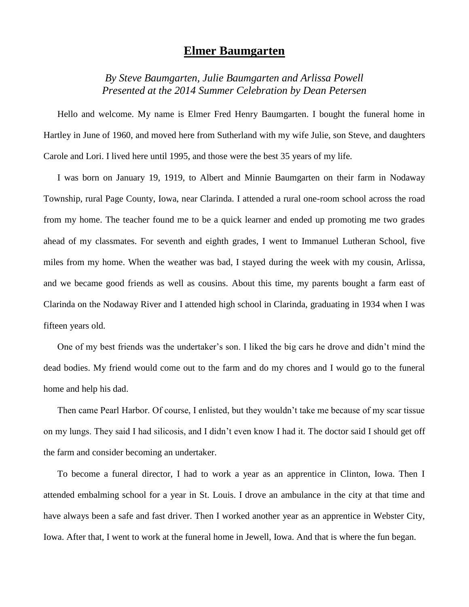## **Elmer Baumgarten**

*By Steve Baumgarten, Julie Baumgarten and Arlissa Powell Presented at the 2014 Summer Celebration by Dean Petersen*

Hello and welcome. My name is Elmer Fred Henry Baumgarten. I bought the funeral home in Hartley in June of 1960, and moved here from Sutherland with my wife Julie, son Steve, and daughters Carole and Lori. I lived here until 1995, and those were the best 35 years of my life.

I was born on January 19, 1919, to Albert and Minnie Baumgarten on their farm in Nodaway Township, rural Page County, Iowa, near Clarinda. I attended a rural one-room school across the road from my home. The teacher found me to be a quick learner and ended up promoting me two grades ahead of my classmates. For seventh and eighth grades, I went to Immanuel Lutheran School, five miles from my home. When the weather was bad, I stayed during the week with my cousin, Arlissa, and we became good friends as well as cousins. About this time, my parents bought a farm east of Clarinda on the Nodaway River and I attended high school in Clarinda, graduating in 1934 when I was fifteen years old.

One of my best friends was the undertaker's son. I liked the big cars he drove and didn't mind the dead bodies. My friend would come out to the farm and do my chores and I would go to the funeral home and help his dad.

Then came Pearl Harbor. Of course, I enlisted, but they wouldn't take me because of my scar tissue on my lungs. They said I had silicosis, and I didn't even know I had it. The doctor said I should get off the farm and consider becoming an undertaker.

To become a funeral director, I had to work a year as an apprentice in Clinton, Iowa. Then I attended embalming school for a year in St. Louis. I drove an ambulance in the city at that time and have always been a safe and fast driver. Then I worked another year as an apprentice in Webster City, Iowa. After that, I went to work at the funeral home in Jewell, Iowa. And that is where the fun began.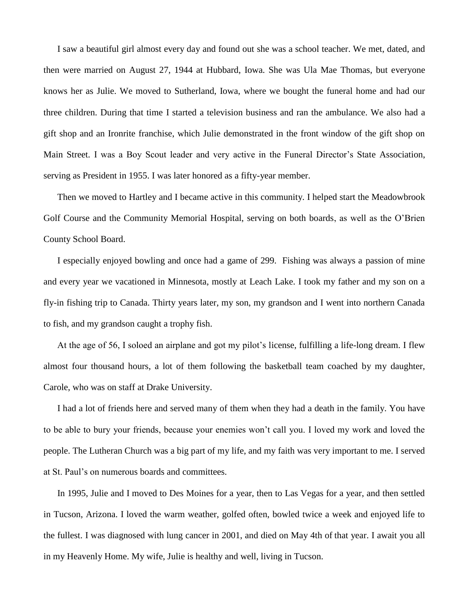I saw a beautiful girl almost every day and found out she was a school teacher. We met, dated, and then were married on August 27, 1944 at Hubbard, Iowa. She was Ula Mae Thomas, but everyone knows her as Julie. We moved to Sutherland, Iowa, where we bought the funeral home and had our three children. During that time I started a television business and ran the ambulance. We also had a gift shop and an Ironrite franchise, which Julie demonstrated in the front window of the gift shop on Main Street. I was a Boy Scout leader and very active in the Funeral Director's State Association, serving as President in 1955. I was later honored as a fifty-year member.

Then we moved to Hartley and I became active in this community. I helped start the Meadowbrook Golf Course and the Community Memorial Hospital, serving on both boards, as well as the O'Brien County School Board.

I especially enjoyed bowling and once had a game of 299. Fishing was always a passion of mine and every year we vacationed in Minnesota, mostly at Leach Lake. I took my father and my son on a fly-in fishing trip to Canada. Thirty years later, my son, my grandson and I went into northern Canada to fish, and my grandson caught a trophy fish.

At the age of 56, I soloed an airplane and got my pilot's license, fulfilling a life-long dream. I flew almost four thousand hours, a lot of them following the basketball team coached by my daughter, Carole, who was on staff at Drake University.

I had a lot of friends here and served many of them when they had a death in the family. You have to be able to bury your friends, because your enemies won't call you. I loved my work and loved the people. The Lutheran Church was a big part of my life, and my faith was very important to me. I served at St. Paul's on numerous boards and committees.

In 1995, Julie and I moved to Des Moines for a year, then to Las Vegas for a year, and then settled in Tucson, Arizona. I loved the warm weather, golfed often, bowled twice a week and enjoyed life to the fullest. I was diagnosed with lung cancer in 2001, and died on May 4th of that year. I await you all in my Heavenly Home. My wife, Julie is healthy and well, living in Tucson.